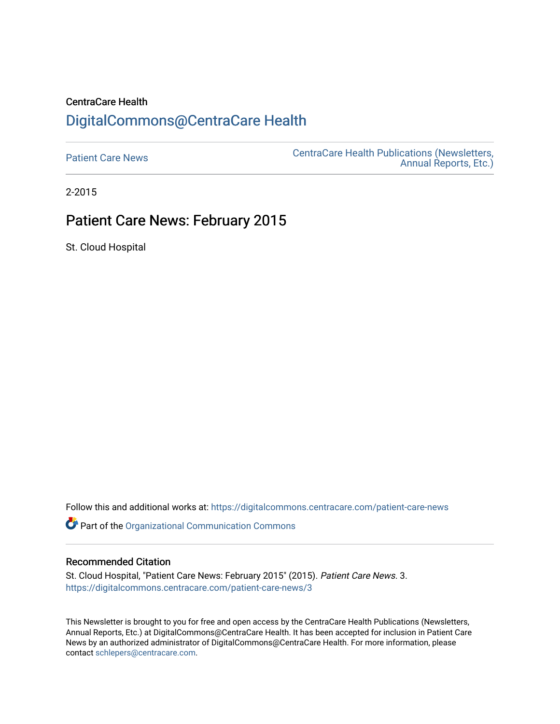## CentraCare Health [DigitalCommons@CentraCare Health](https://digitalcommons.centracare.com/)

[Patient Care News](https://digitalcommons.centracare.com/patient-care-news) **CentraCare Health Publications (Newsletters,** [Annual Reports, Etc.\)](https://digitalcommons.centracare.com/health_publications) 

2-2015

## Patient Care News: February 2015

St. Cloud Hospital

Follow this and additional works at: [https://digitalcommons.centracare.com/patient-care-news](https://digitalcommons.centracare.com/patient-care-news?utm_source=digitalcommons.centracare.com%2Fpatient-care-news%2F3&utm_medium=PDF&utm_campaign=PDFCoverPages) 

**Part of the [Organizational Communication Commons](http://network.bepress.com/hgg/discipline/335?utm_source=digitalcommons.centracare.com%2Fpatient-care-news%2F3&utm_medium=PDF&utm_campaign=PDFCoverPages)** 

#### Recommended Citation

St. Cloud Hospital, "Patient Care News: February 2015" (2015). Patient Care News. 3. [https://digitalcommons.centracare.com/patient-care-news/3](https://digitalcommons.centracare.com/patient-care-news/3?utm_source=digitalcommons.centracare.com%2Fpatient-care-news%2F3&utm_medium=PDF&utm_campaign=PDFCoverPages) 

This Newsletter is brought to you for free and open access by the CentraCare Health Publications (Newsletters, Annual Reports, Etc.) at DigitalCommons@CentraCare Health. It has been accepted for inclusion in Patient Care News by an authorized administrator of DigitalCommons@CentraCare Health. For more information, please contact [schlepers@centracare.com.](mailto:schlepers@centracare.com)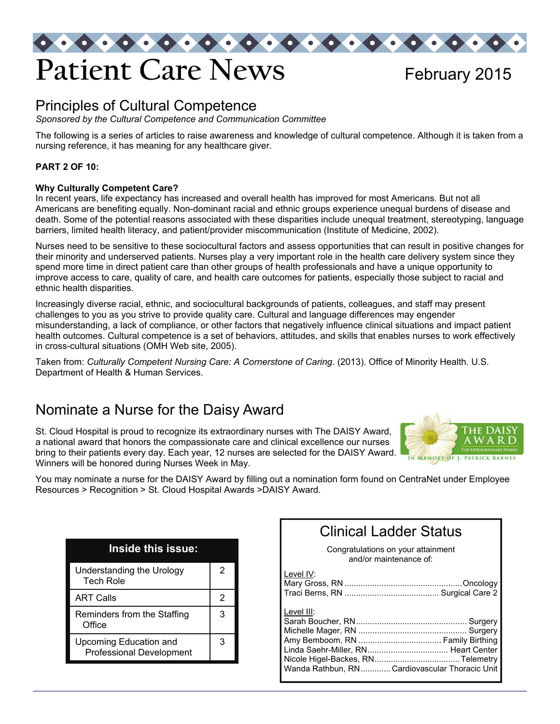

### Principles of Cultural Competence

*Sponsored by the Cultural Competence and Communication Committee* 

The following is a series of articles to raise awareness and knowledge of cultural competence. Although it is taken from a nursing reference, it has meaning for any healthcare giver.

#### **PART 2 OF 10:**

#### **Why Culturally Competent Care?**

In recent years, life expectancy has increased and overall health has improved for most Americans. But not all Americans are benefiting equally. Non-dominant racial and ethnic groups experience unequal burdens of disease and death. Some of the potential reasons associated with these disparities include unequal treatment, stereotyping, language barriers, limited health literacy, and patient/provider miscommunication (Institute of Medicine, 2002).

Nurses need to be sensitive to these sociocultural factors and assess opportunities that can result in positive changes for their minority and underserved patients. Nurses play a very important role in the health care delivery system since they spend more time in direct patient care than other groups of health professionals and have a unique opportunity to improve access to care, quality of care, and health care outcomes for patients, especially those subject to racial and ethnic health disparities.

Increasingly diverse racial, ethnic, and sociocultural backgrounds of patients, colleagues, and staff may present challenges to you as you strive to provide quality care. Cultural and language differences may engender misunderstanding, a lack of compliance, or other factors that negatively influence clinical situations and impact patient health outcomes. Cultural competence is a set of behaviors, attitudes, and skills that enables nurses to work effectively in cross-cultural situations (OMH Web site, 2005).

Taken from: *Culturally Competent Nursing Care: A Cornerstone of Caring*. (2013). Office of Minority Health. U.S. Department of Health & Human Services.

### Nominate a Nurse for the Daisy Award

St. Cloud Hospital is proud to recognize its extraordinary nurses with The DAISY Award, a national award that honors the compassionate care and clinical excellence our nurses bring to their patients every day. Each year, 12 nurses are selected for the DAISY Award. Winners will be honored during Nurses Week in May.



You may nominate a nurse for the DAISY Award by filling out a nomination form found on CentraNet under Employee Resources > Recognition > St. Cloud Hospital Awards >DAISY Award.

| Inside this issue:                                        |   |
|-----------------------------------------------------------|---|
| Understanding the Urology<br><b>Tech Role</b>             | 2 |
| <b>ART Calls</b>                                          | 2 |
| Reminders from the Staffing<br>Office                     | 3 |
| Upcoming Education and<br><b>Professional Development</b> | З |

| <b>Clinical Ladder Status</b>      |
|------------------------------------|
| Congratulations on your attainment |
| and/or maintenance of:             |

| Level IV:  |                                               |
|------------|-----------------------------------------------|
| Level III: | Wanda Rathbun, RNCardiovascular Thoracic Unit |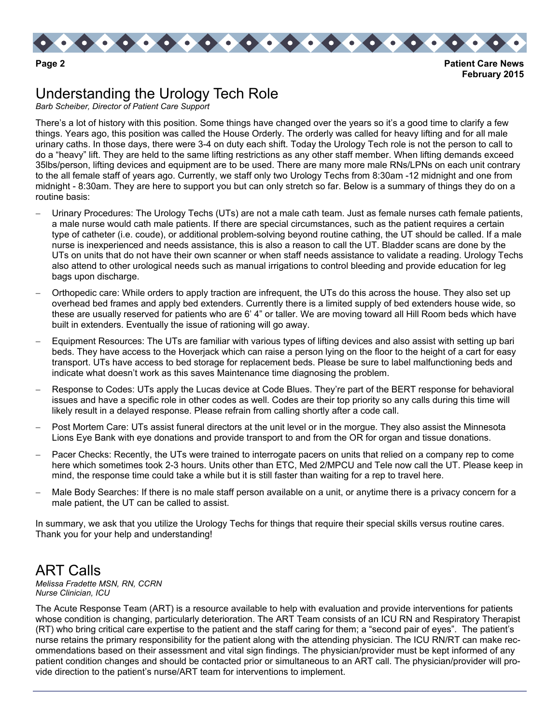

**February 2015** 

# Understanding the Urology Tech Role

*Barb Scheiber, Director of Patient Care Support* 

There's a lot of history with this position. Some things have changed over the years so it's a good time to clarify a few things. Years ago, this position was called the House Orderly. The orderly was called for heavy lifting and for all male urinary caths. In those days, there were 3-4 on duty each shift. Today the Urology Tech role is not the person to call to do a "heavy" lift. They are held to the same lifting restrictions as any other staff member. When lifting demands exceed 35lbs/person, lifting devices and equipment are to be used. There are many more male RNs/LPNs on each unit contrary to the all female staff of years ago. Currently, we staff only two Urology Techs from 8:30am -12 midnight and one from midnight - 8:30am. They are here to support you but can only stretch so far. Below is a summary of things they do on a routine basis:

- Urinary Procedures: The Urology Techs (UTs) are not a male cath team. Just as female nurses cath female patients, a male nurse would cath male patients. If there are special circumstances, such as the patient requires a certain type of catheter (i.e. coude), or additional problem-solving beyond routine cathing, the UT should be called. If a male nurse is inexperienced and needs assistance, this is also a reason to call the UT. Bladder scans are done by the UTs on units that do not have their own scanner or when staff needs assistance to validate a reading. Urology Techs also attend to other urological needs such as manual irrigations to control bleeding and provide education for leg bags upon discharge.
- Orthopedic care: While orders to apply traction are infrequent, the UTs do this across the house. They also set up overhead bed frames and apply bed extenders. Currently there is a limited supply of bed extenders house wide, so these are usually reserved for patients who are 6' 4" or taller. We are moving toward all Hill Room beds which have built in extenders. Eventually the issue of rationing will go away.
- Equipment Resources: The UTs are familiar with various types of lifting devices and also assist with setting up bari beds. They have access to the Hoverjack which can raise a person lying on the floor to the height of a cart for easy transport. UTs have access to bed storage for replacement beds. Please be sure to label malfunctioning beds and indicate what doesn't work as this saves Maintenance time diagnosing the problem.
- Response to Codes: UTs apply the Lucas device at Code Blues. They're part of the BERT response for behavioral issues and have a specific role in other codes as well. Codes are their top priority so any calls during this time will likely result in a delayed response. Please refrain from calling shortly after a code call.
- Post Mortem Care: UTs assist funeral directors at the unit level or in the morgue. They also assist the Minnesota Lions Eye Bank with eye donations and provide transport to and from the OR for organ and tissue donations.
- Pacer Checks: Recently, the UTs were trained to interrogate pacers on units that relied on a company rep to come here which sometimes took 2-3 hours. Units other than ETC, Med 2/MPCU and Tele now call the UT. Please keep in mind, the response time could take a while but it is still faster than waiting for a rep to travel here.
- Male Body Searches: If there is no male staff person available on a unit, or anytime there is a privacy concern for a male patient, the UT can be called to assist.

In summary, we ask that you utilize the Urology Techs for things that require their special skills versus routine cares. Thank you for your help and understanding!

## ART Calls

*Melissa Fradette MSN, RN, CCRN Nurse Clinician, ICU* 

The Acute Response Team (ART) is a resource available to help with evaluation and provide interventions for patients whose condition is changing, particularly deterioration. The ART Team consists of an ICU RN and Respiratory Therapist (RT) who bring critical care expertise to the patient and the staff caring for them; a "second pair of eyes". The patient's nurse retains the primary responsibility for the patient along with the attending physician. The ICU RN/RT can make recommendations based on their assessment and vital sign findings. The physician/provider must be kept informed of any patient condition changes and should be contacted prior or simultaneous to an ART call. The physician/provider will provide direction to the patient's nurse/ART team for interventions to implement.